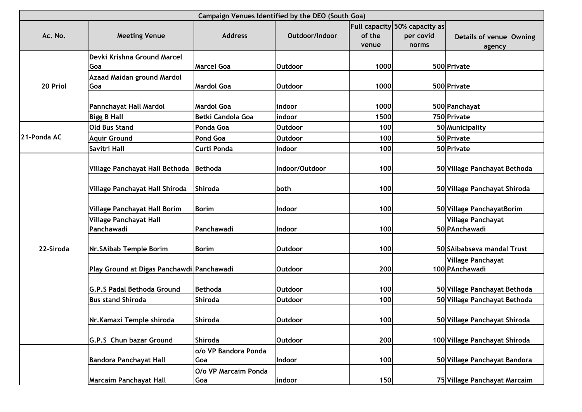|             |                                             |                             | Campaign Venues Identified by the DEO (South Goa) |                 |                                                            |                                            |
|-------------|---------------------------------------------|-----------------------------|---------------------------------------------------|-----------------|------------------------------------------------------------|--------------------------------------------|
| Ac. No.     | <b>Meeting Venue</b>                        | <b>Address</b>              | Outdoor/Indoor                                    | of the<br>venue | <b>Full capacity 50% capacity as</b><br>per covid<br>norms | Details of venue Owning<br>agency          |
|             | Devki Krishna Ground Marcel                 |                             |                                                   |                 |                                                            |                                            |
|             | Goa                                         | <b>Marcel Goa</b>           | <b>Outdoor</b>                                    | 1000            |                                                            | 500 Private                                |
| 20 Priol    | Azaad Maidan ground Mardol<br>Goa           | <b>Mardol Goa</b>           | <b>Outdoor</b>                                    | 1000            |                                                            | 500 Private                                |
|             | Pannchayat Hall Mardol                      | <b>Mardol Goa</b>           | lindoor                                           | 1000            |                                                            | 500 Panchayat                              |
|             | <b>Bigg B Hall</b>                          | Betki Candola Goa           | indoor                                            | 1500            |                                                            | 750 Private                                |
|             | <b>Old Bus Stand</b>                        | Ponda Goa                   | <b>Outdoor</b>                                    | 100             |                                                            | 50 Municipality                            |
| 21-Ponda AC | <b>Aquir Ground</b>                         | Pond Goa                    | <b>Outdoor</b>                                    | 100             |                                                            | 50 Private                                 |
|             | Savitri Hall                                | Curti Ponda                 | Indoor                                            | 100             |                                                            | 50 Private                                 |
|             | Village Panchayat Hall Bethoda              | Bethoda                     | Indoor/Outdoor                                    | 100             |                                                            | 50 Village Panchayat Bethoda               |
|             | Village Panchayat Hall Shiroda              | <b>Shiroda</b>              | both                                              | 100             |                                                            | 50 Village Panchayat Shiroda               |
|             | Village Panchayat Hall Borim                | <b>Borim</b>                | Indoor                                            | 100             |                                                            | 50 Village PanchayatBorim                  |
|             | <b>Village Panchayat Hall</b><br>Panchawadi | Panchawadi                  | Indoor                                            | 100             |                                                            | <b>Village Panchayat</b><br>50 PAnchawadi  |
| 22-Siroda   | Nr. SAibab Temple Borim                     | <b>Borim</b>                | <b>Outdoor</b>                                    | 100             |                                                            | 50 SAibabseva mandal Trust                 |
|             | Play Ground at Digas Panchawdi Panchawadi   |                             | <b>Outdoor</b>                                    | 200             |                                                            | <b>Village Panchayat</b><br>100 PAnchawadi |
|             | <b>G.P.S Padal Bethoda Ground</b>           | <b>Bethoda</b>              | <b>Outdoor</b>                                    | 100             |                                                            | 50 Village Panchayat Bethoda               |
|             | <b>Bus stand Shiroda</b>                    | <b>Shiroda</b>              | <b>Outdoor</b>                                    | 100             |                                                            | 50 Village Panchayat Bethoda               |
|             | Nr. Kamaxi Temple shiroda                   | <b>Shiroda</b>              | <b>Outdoor</b>                                    | 100             |                                                            | 50 Village Panchayat Shiroda               |
|             | G.P.S Chun bazar Ground                     | <b>Shiroda</b>              | <b>Outdoor</b>                                    | 200             |                                                            | 100 Village Panchayat Shiroda              |
|             | <b>Bandora Panchayat Hall</b>               | o/o VP Bandora Ponda<br>Goa | Indoor                                            | 100             |                                                            | 50 Village Panchayat Bandora               |
|             | <b>Marcaim Panchayat Hall</b>               | O/o VP Marcaim Ponda<br>Goa | indoor                                            | 150             |                                                            | 75 Village Panchayat Marcaim               |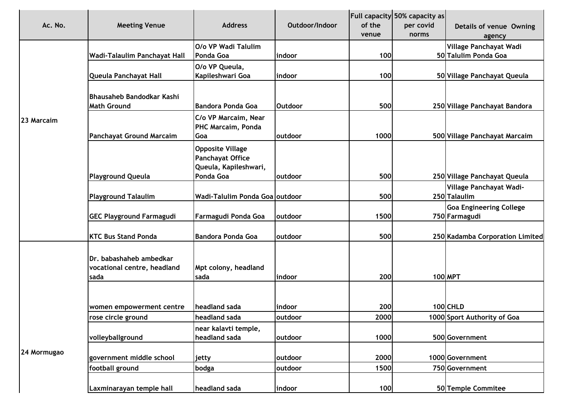| Ac. No.     | <b>Meeting Venue</b>                                           | <b>Address</b>                                                                     | Outdoor/Indoor | of the<br>venue | Full capacity 50% capacity as<br>per covid<br>norms | Details of venue Owning<br>agency               |
|-------------|----------------------------------------------------------------|------------------------------------------------------------------------------------|----------------|-----------------|-----------------------------------------------------|-------------------------------------------------|
|             |                                                                | O/o VP Wadi Talulim                                                                |                |                 |                                                     | Village Panchayat Wadi                          |
|             | Wadi-Talaulim Panchayat Hall                                   | Ponda Goa                                                                          | indoor         | 100             |                                                     | 50 Talulim Ponda Goa                            |
|             | Queula Panchayat Hall                                          | O/o VP Queula,<br>Kapileshwari Goa                                                 | indoor         | 100             |                                                     | 50 Village Panchayat Queula                     |
|             | Bhausaheb Bandodkar Kashi<br><b>Math Ground</b>                | <b>Bandora Ponda Goa</b>                                                           | <b>Outdoor</b> | 500             |                                                     | 250 Village Panchayat Bandora                   |
| 23 Marcaim  |                                                                | C/o VP Marcaim, Near<br>PHC Marcaim, Ponda                                         | outdoor        | 1000            |                                                     |                                                 |
|             | <b>Panchayat Ground Marcaim</b>                                | Goa<br><b>Opposite Village</b><br><b>Panchayat Office</b><br>Queula, Kapileshwari, |                |                 |                                                     | 500 Village Panchayat Marcaim                   |
|             | <b>Playground Queula</b>                                       | Ponda Goa                                                                          | outdoor        | 500             |                                                     | 250 Village Panchayat Queula                    |
|             | <b>Playground Talaulim</b>                                     | Wadi-Talulim Ponda Goa outdoor                                                     |                | 500             |                                                     | Village Panchayat Wadi-<br>250 Talaulim         |
|             | <b>GEC Playground Farmagudi</b>                                | Farmagudi Ponda Goa                                                                | outdoor        | 1500            |                                                     | <b>Goa Engineering College</b><br>750 Farmagudi |
|             | <b>KTC Bus Stand Ponda</b>                                     | <b>Bandora Ponda Goa</b>                                                           | outdoor        | 500             |                                                     | 250 Kadamba Corporation Limited                 |
|             | Dr. babashaheb ambedkar<br>vocational centre, headland<br>sada | Mpt colony, headland<br>sada                                                       | indoor         | 200             |                                                     | 100 MPT                                         |
|             | women empowerment centre                                       | headland sada                                                                      | indoor         | 200             |                                                     | 100 CHLD                                        |
|             | rose circle ground                                             | headland sada                                                                      | outdoor        | 2000            |                                                     | 1000 Sport Authority of Goa                     |
|             | volleyballground                                               | near kalavti temple,<br>headland sada                                              | outdoor        | 1000            |                                                     | 500 Government                                  |
| 24 Mormugao | government middle school                                       | jetty                                                                              | outdoor        | 2000            |                                                     | 1000 Government                                 |
|             | football ground                                                | bodga                                                                              | outdoor        | 1500            |                                                     | 750 Government                                  |
|             | Laxminarayan temple hall                                       | headland sada                                                                      | indoor         | 100             |                                                     | 50 Temple Commitee                              |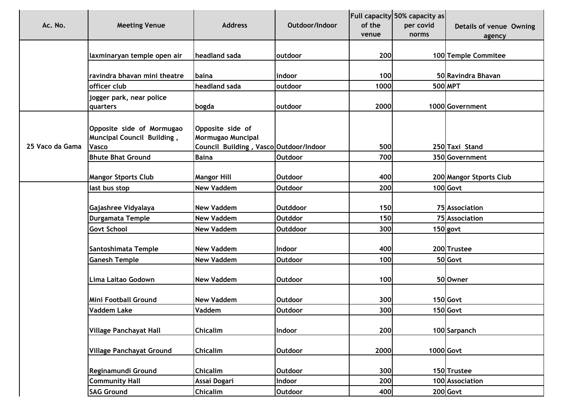| Ac. No.         | <b>Meeting Venue</b>                                                           | <b>Address</b>                                                                  | Outdoor/Indoor  | of the<br>venue | Full capacity 50% capacity as<br>per covid<br>norms | Details of venue Owning<br>agency |
|-----------------|--------------------------------------------------------------------------------|---------------------------------------------------------------------------------|-----------------|-----------------|-----------------------------------------------------|-----------------------------------|
|                 | laxminaryan temple open air                                                    | headland sada                                                                   | outdoor         | 200             |                                                     | 100 Temple Commitee               |
|                 | ravindra bhavan mini theatre                                                   | <b>baina</b>                                                                    | indoor          | 100             |                                                     | 50 Ravindra Bhavan                |
|                 | officer club                                                                   | headland sada                                                                   | outdoor         | 1000            |                                                     | 500 MPT                           |
|                 | jogger park, near police<br>quarters                                           | bogda                                                                           | outdoor         | 2000            |                                                     | 1000 Government                   |
| 25 Vaco da Gama | Opposite side of Mormugao<br><b>Muncipal Council Building,</b><br><b>Vasco</b> | Opposite side of<br>Mormugao Muncipal<br>Council Building, Vasco Outdoor/Indoor |                 | 500             |                                                     | 250 Taxi Stand                    |
|                 | <b>Bhute Bhat Ground</b>                                                       | <b>Baina</b>                                                                    | <b>Outdoor</b>  | 700             |                                                     | 350 Government                    |
|                 | <b>Mangor Stports Club</b>                                                     | <b>Mangor Hill</b>                                                              | <b>Outdoor</b>  | 400             |                                                     | 200 Mangor Stports Club           |
|                 | last bus stop                                                                  | <b>New Vaddem</b>                                                               | <b>Outdoor</b>  | 200             |                                                     | $100$ Govt                        |
|                 | Gajashree Vidyalaya                                                            | <b>New Vaddem</b>                                                               | <b>Outddoor</b> | 150             |                                                     | 75 Association                    |
|                 | Durgamata Temple                                                               | <b>New Vaddem</b>                                                               | <b>Outddor</b>  | 150             |                                                     | 75 Association                    |
|                 | <b>Govt School</b>                                                             | <b>New Vaddem</b>                                                               | <b>Outddoor</b> | 300             |                                                     | $150$ govt                        |
|                 | Santoshimata Temple                                                            | <b>New Vaddem</b>                                                               | Indoor          | 400             |                                                     | 200 Trustee                       |
|                 | <b>Ganesh Temple</b>                                                           | <b>New Vaddem</b>                                                               | <b>Outdoor</b>  | 100             |                                                     | 50 Govt                           |
|                 | Lima Laitao Godown                                                             | <b>New Vaddem</b>                                                               | <b>Outdoor</b>  | 100             |                                                     | 50 Owner                          |
|                 | Mini Football Ground                                                           | <b>New Vaddem</b>                                                               | <b>Outdoor</b>  | 300             |                                                     | 150 Govt                          |
|                 | <b>Vaddem Lake</b>                                                             | Vaddem                                                                          | <b>Outdoor</b>  | 300             |                                                     | $150$ Govt                        |
|                 | <b>Village Panchayat Hall</b>                                                  | <b>Chicalim</b>                                                                 | Indoor          | 200             |                                                     | 100 Sarpanch                      |
|                 | <b>Village Panchayat Ground</b>                                                | <b>Chicalim</b>                                                                 | <b>Outdoor</b>  | 2000            |                                                     | 1000 Govt                         |
|                 | Reginamundi Ground                                                             | <b>Chicalim</b>                                                                 | Outdoor         | 300             |                                                     | 150 Trustee                       |
|                 | <b>Community Hall</b>                                                          | Assai Dogari                                                                    | Indoor          | 200             |                                                     | 100 Association                   |
|                 | <b>SAG Ground</b>                                                              | Chicalim                                                                        | <b>Outdoor</b>  | 400             |                                                     | 200 Govt                          |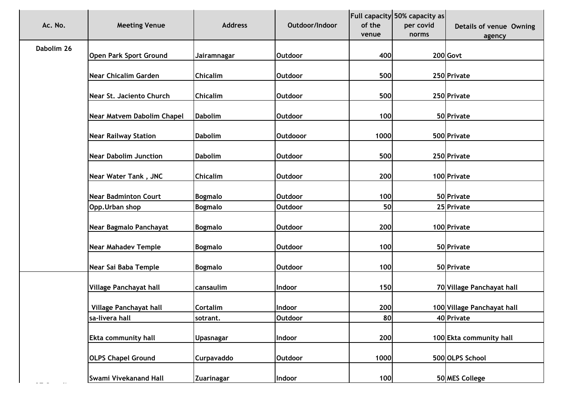| Ac. No.    | <b>Meeting Venue</b>          | <b>Address</b>    | Outdoor/Indoor  | of the<br>venue | Full capacity 50% capacity as<br>per covid<br>norms | Details of venue Owning<br>agency |
|------------|-------------------------------|-------------------|-----------------|-----------------|-----------------------------------------------------|-----------------------------------|
| Dabolim 26 | <b>Open Park Sport Ground</b> | Jairamnagar       | <b>Outdoor</b>  | 400             |                                                     | 200 Govt                          |
|            |                               |                   |                 |                 |                                                     |                                   |
|            | <b>Near Chicalim Garden</b>   | <b>Chicalim</b>   | <b>Outdoor</b>  | 500             |                                                     | 250 Private                       |
|            | Near St. Jaciento Church      | <b>Chicalim</b>   | <b>Outdoor</b>  | 500             |                                                     | 250 Private                       |
|            | Near Matvem Dabolim Chapel    | <b>Dabolim</b>    | <b>Outdoor</b>  | 100             |                                                     | 50 Private                        |
|            | <b>Near Railway Station</b>   | <b>Dabolim</b>    | <b>Outdooor</b> | 1000            |                                                     | 500 Private                       |
|            | <b>Near Dabolim Junction</b>  | <b>Dabolim</b>    | <b>Outdoor</b>  | 500             |                                                     | 250 Private                       |
|            | Near Water Tank, JNC          | <b>Chicalim</b>   | <b>Outdoor</b>  | 200             |                                                     | 100 Private                       |
|            | <b>Near Badminton Court</b>   | <b>Bogmalo</b>    | <b>Outdoor</b>  | 100             |                                                     | 50 Private                        |
|            | Opp. Urban shop               | <b>Bogmalo</b>    | <b>Outdoor</b>  | 50              |                                                     | 25 Private                        |
|            | Near Bagmalo Panchayat        | <b>Bogmalo</b>    | <b>Outdoor</b>  | 200             |                                                     | 100 Private                       |
|            | <b>Near Mahadev Temple</b>    | <b>Bogmalo</b>    | <b>Outdoor</b>  | 100             |                                                     | 50 Private                        |
|            | Near Sai Baba Temple          | <b>Bogmalo</b>    | <b>Outdoor</b>  | 100             |                                                     | 50 Private                        |
|            | Village Panchayat hall        | cansaulim         | Indoor          | 150             |                                                     | 70 Village Panchayat hall         |
|            | Village Panchayat hall        | Cortalim          | Indoor          | 200             |                                                     | 100 Village Panchayat hall        |
|            | sa-livera hall                | sotrant.          | <b>Outdoor</b>  | 80              |                                                     | 40 Private                        |
|            | <b>Ekta community hall</b>    | <b>Upasnagar</b>  | Indoor          | 200             |                                                     | 100 Ekta community hall           |
|            | <b>OLPS Chapel Ground</b>     | <b>Curpavaddo</b> | <b>Outdoor</b>  | 1000            |                                                     | 500 OLPS School                   |
|            | Swami Vivekanand Hall         | Zuarinagar        | Indoor          | 100             |                                                     | 50 MES College                    |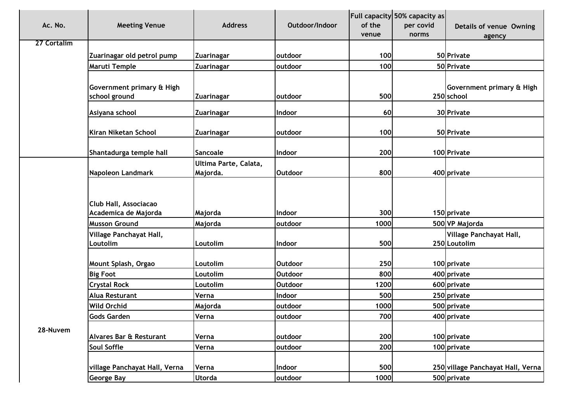| Ac. No.     | <b>Meeting Venue</b>                          | <b>Address</b>                    | Outdoor/Indoor | of the | <b>Full capacity 50% capacity as</b><br>per covid | Details of venue Owning                 |
|-------------|-----------------------------------------------|-----------------------------------|----------------|--------|---------------------------------------------------|-----------------------------------------|
|             |                                               |                                   |                | venue  | norms                                             | agency                                  |
| 27 Cortalim |                                               |                                   |                |        |                                                   |                                         |
|             | Zuarinagar old petrol pump                    | Zuarinagar                        | outdoor        | 100    |                                                   | 50 Private                              |
|             | Maruti Temple                                 | <b>Zuarinagar</b>                 | outdoor        | 100    |                                                   | 50 Private                              |
|             | Government primary & High<br>school ground    | Zuarinagar                        | outdoor        | 500    |                                                   | Government primary & High<br>250 school |
|             | Asiyana school                                | <b>Zuarinagar</b>                 | Indoor         | 60     |                                                   | 30 Private                              |
|             | Kiran Niketan School                          | Zuarinagar                        | outdoor        | 100    |                                                   | 50 Private                              |
|             | Shantadurga temple hall                       | Sancoale                          | Indoor         | 200    |                                                   | 100 Private                             |
|             | Napoleon Landmark                             | Ultima Parte, Calata,<br>Majorda. | <b>Outdoor</b> | 800    |                                                   | 400 private                             |
|             | Club Hall, Associacao<br>Academica de Majorda | Majorda                           | Indoor         | 300    |                                                   | 150 private                             |
|             | <b>Musson Ground</b>                          | Majorda                           | outdoor        | 1000   |                                                   | 500 VP Majorda                          |
|             | Village Panchayat Hall,<br>Loutolim           | Loutolim                          | Indoor         | 500    |                                                   | Village Panchayat Hall,<br>250 Loutolim |
|             | Mount Splash, Orgao                           | Loutolim                          | <b>Outdoor</b> | 250    |                                                   | 100 private                             |
|             | <b>Big Foot</b>                               | Loutolim                          | <b>Outdoor</b> | 800    |                                                   | 400 private                             |
|             | <b>Crystal Rock</b>                           | Loutolim                          | <b>Outdoor</b> | 1200   |                                                   | 600 private                             |
|             | Alua Resturant                                | Verna                             | Indoor         | 500    |                                                   | 250 private                             |
|             | <b>Wild Orchid</b>                            | Majorda                           | outdoor        | 1000   |                                                   | 500 private                             |
|             | <b>Gods Garden</b>                            | Verna                             | outdoor        | 700    |                                                   | 400 private                             |
| 28-Nuvem    | Alvares Bar & Resturant                       | Verna                             | outdoor        | 200    |                                                   | 100 private                             |
|             | Soul Soffle                                   | Verna                             | outdoor        | 200    |                                                   | 100 private                             |
|             | village Panchayat Hall, Verna                 | Verna                             | Indoor         | 500    |                                                   | 250 village Panchayat Hall, Verna       |
|             | <b>George Bay</b>                             | <b>Utorda</b>                     | outdoor        | 1000   |                                                   | 500 private                             |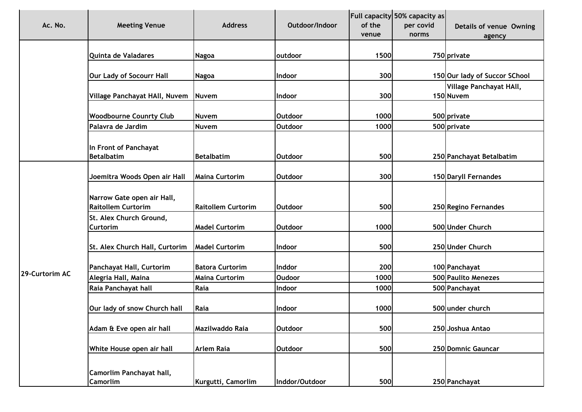| Ac. No.        | <b>Meeting Venue</b>                                    | <b>Address</b>            | Outdoor/Indoor | of the<br>venue | Full capacity 50% capacity as<br>per covid<br>norms | Details of venue Owning<br>agency    |
|----------------|---------------------------------------------------------|---------------------------|----------------|-----------------|-----------------------------------------------------|--------------------------------------|
|                | Quinta de Valadares                                     | <b>Nagoa</b>              | outdoor        | 1500            |                                                     | 750 private                          |
|                | Our Lady of Socourr Hall                                | <b>Nagoa</b>              | Indoor         | 300             |                                                     | 150 Our lady of Succor SChool        |
|                | Village Panchayat HAll, Nuvem                           | <b>Nuvem</b>              | Indoor         | 300             |                                                     | Village Panchayat HAll,<br>150 Nuvem |
|                | <b>Woodbourne Counrty Club</b>                          | Nuvem                     | <b>Outdoor</b> | 1000            |                                                     | 500 private                          |
|                | Palavra de Jardim                                       | <b>Nuvem</b>              | <b>Outdoor</b> | 1000            |                                                     | 500 private                          |
|                | In Front of Panchayat<br><b>Betalbatim</b>              | <b>Betalbatim</b>         | <b>Outdoor</b> | 500             |                                                     | 250 Panchayat Betalbatim             |
|                | Joemitra Woods Open air Hall                            | <b>Maina Curtorim</b>     | <b>Outdoor</b> | 300             |                                                     | 150 Daryll Fernandes                 |
|                | Narrow Gate open air Hall,<br><b>Raitollem Curtorim</b> | <b>Raitollem Curtorim</b> | <b>Outdoor</b> | 500             |                                                     | 250 Regino Fernandes                 |
|                | St. Alex Church Ground,<br><b>Curtorim</b>              | <b>Madel Curtorim</b>     | <b>Outdoor</b> | 1000            |                                                     | 500 Under Church                     |
|                | St. Alex Church Hall, Curtorim                          | <b>Madel Curtorim</b>     | Indoor         | 500             |                                                     | 250 Under Church                     |
| 29-Curtorim AC | Panchayat Hall, Curtorim                                | <b>Batora Curtorim</b>    | Inddor         | 200             |                                                     | 100 Panchayat                        |
|                | Alegria Hall, Maina                                     | <b>Maina Curtorim</b>     | <b>Oudoor</b>  | 1000            |                                                     | 500 Paulito Menezes                  |
|                | Raia Panchayat hall                                     | Raia                      | Indoor         | 1000            |                                                     | 500 Panchayat                        |
|                | Our lady of snow Church hall                            | Raia                      | Indoor         | 1000            |                                                     | 500 under church                     |
|                | Adam & Eve open air hall                                | Mazilwaddo Raia           | <b>Outdoor</b> | 500             |                                                     | 250 Joshua Antao                     |
|                | White House open air hall                               | <b>Arlem Raia</b>         | <b>Outdoor</b> | 500             |                                                     | 250 Domnic Gauncar                   |
|                | Camorlim Panchayat hall,<br><b>Camorlim</b>             | Kurgutti, Camorlim        | Inddor/Outdoor | 500             |                                                     | 250 Panchayat                        |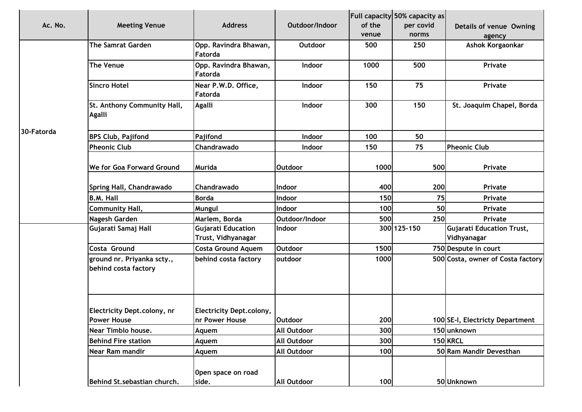| Ac. No.    | <b>Meeting Venue</b>                               | <b>Address</b>                                     | Outdoor/Indoor     | of the<br>venue | <b>Full capacity 50% capacity as</b><br>per covid<br>norms | Details of venue Owning<br>agency               |
|------------|----------------------------------------------------|----------------------------------------------------|--------------------|-----------------|------------------------------------------------------------|-------------------------------------------------|
|            | <b>The Samrat Garden</b>                           | Opp. Ravindra Bhawan,<br>Fatorda                   | Outdoor            | 500             | 250                                                        | Ashok Korgaonkar                                |
|            | The Venue                                          | Opp. Ravindra Bhawan,<br>Fatorda                   | Indoor             | 1000            | 500                                                        | Private                                         |
|            | <b>Sincro Hotel</b>                                | Near P.W.D. Office,<br>Fatorda                     | Indoor             | 150             | 75                                                         | Private                                         |
|            | St. Anthony Community Hall,<br><b>Agalli</b>       | <b>Agalli</b>                                      | Indoor             | 300             | 150                                                        | St. Joaquim Chapel, Borda                       |
| 30-Fatorda | <b>BPS Club, Pajifond</b>                          | Pajifond                                           | Indoor             | 100             | 50                                                         |                                                 |
|            | <b>Pheonic Club</b>                                | Chandrawado                                        | Indoor             | 150             | 75                                                         | <b>Pheonic Club</b>                             |
|            | We for Goa Forward Ground                          | <b>Murida</b>                                      | <b>Outdoor</b>     | 1000            | 500                                                        | Private                                         |
|            | Spring Hall, Chandrawado                           | Chandrawado                                        | Indoor             | 400             | 200                                                        | Private                                         |
|            | <b>B.M. Hall</b>                                   | <b>Borda</b>                                       | Indoor             | 150             | 75                                                         | Private                                         |
|            | <b>Community Hall,</b>                             | Mungul                                             | <b>Indoor</b>      | 100             | 50                                                         | Private                                         |
|            | Nagesh Garden                                      | Marlem, Borda                                      | Outdoor/Indoor     | 500             | 250                                                        | Private                                         |
|            | Gujarati Samaj Hall                                | <b>Gujarati Education</b><br>Trust, Vidhyanagar    | Indoor             |                 | 300 125-150                                                | <b>Gujarati Education Trust,</b><br>Vidhyanagar |
|            | Costa Ground                                       | <b>Costa Ground Aquem</b>                          | <b>Outdoor</b>     | 1500            |                                                            | 750 Despute in court                            |
|            | ground nr. Priyanka scty.,<br>behind costa factory | behind costa factory                               | outdoor            | 1000            |                                                            | 500 Costa, owner of Costa factory               |
|            | Electricity Dept.colony, nr<br>Power House         | <b>Electricity Dept.colony,</b><br>Inr Power House | <b>Outdoor</b>     | 200             |                                                            | 100 SE-I, Electricty Department                 |
|            | Near Timblo house.                                 | Aquem                                              | <b>All Outdoor</b> | 300             |                                                            | 150 unknown                                     |
|            | <b>Behind Fire station</b>                         | Aquem                                              | <b>All Outdoor</b> | 300             |                                                            | 150 KRCL                                        |
|            | Near Ram mandir                                    | Aquem                                              | <b>All Outdoor</b> | 100             |                                                            | 50 Ram Mandir Devesthan                         |
|            | Behind St.sebastian church.                        | Open space on road<br>side.                        | <b>All Outdoor</b> | 100             |                                                            | 50 Unknown                                      |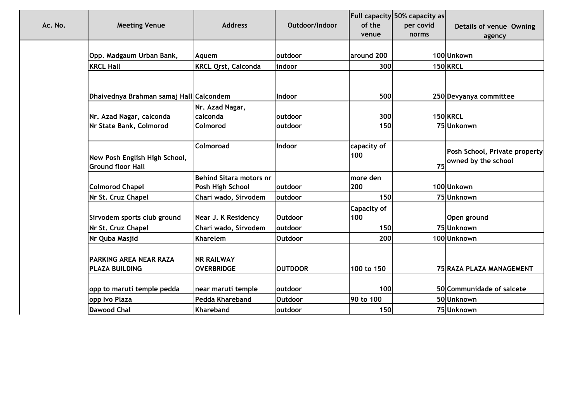| Ac. No.<br><b>Meeting Venue</b>                           | <b>Address</b>                         | Outdoor/Indoor | of the<br>venue    | Full capacity 50% capacity as<br>per covid<br>norms | Details of venue Owning<br>agency                    |
|-----------------------------------------------------------|----------------------------------------|----------------|--------------------|-----------------------------------------------------|------------------------------------------------------|
| Opp. Madgaum Urban Bank,                                  | Aquem                                  | outdoor        | around 200         |                                                     | 100Unkown                                            |
| <b>KRCL Hall</b>                                          | <b>KRCL Qrst, Calconda</b>             | indoor         | 300                |                                                     | <b>150 KRCL</b>                                      |
|                                                           |                                        |                |                    |                                                     |                                                      |
| Dhaivednya Brahman samaj Hall Calcondem                   |                                        | Indoor         | 500                |                                                     | 250 Devyanya committee                               |
|                                                           | Nr. Azad Nagar,<br>calconda            | outdoor        | 300                |                                                     | 150 KRCL                                             |
| Nr. Azad Nagar, calconda<br>Nr State Bank, Colmorod       | <b>Colmorod</b>                        | outdoor        | 150                |                                                     | 75 Unkonwn                                           |
|                                                           |                                        |                |                    |                                                     |                                                      |
| New Posh English High School,<br><b>Ground floor Hall</b> | Colmoroad                              | Indoor         | capacity of<br>100 | <b>75</b>                                           | Posh School, Private property<br>owned by the school |
|                                                           | <b>Behind Sitara motors nr</b>         |                | more den           |                                                     |                                                      |
| <b>Colmorod Chapel</b>                                    | Posh High School                       | outdoor        | 200                |                                                     | 100Unkown                                            |
| Nr St. Cruz Chapel                                        | Chari wado, Sirvodem                   | outdoor        | <b>150</b>         |                                                     | 75 Unknown                                           |
|                                                           |                                        |                | <b>Capacity of</b> |                                                     |                                                      |
| Sirvodem sports club ground                               | Near J. K Residency                    | <b>Outdoor</b> | 100                |                                                     | Open ground                                          |
| Nr St. Cruz Chapel                                        | Chari wado, Sirvodem                   | outdoor        | 150                |                                                     | 75 Unknown                                           |
| Nr Quba Masjid                                            | Kharelem                               | Outdoor        | 200                |                                                     | 100 Unknown                                          |
| <b>PARKING AREA NEAR RAZA</b><br><b>PLAZA BUILDING</b>    | <b>NR RAILWAY</b><br><b>OVERBRIDGE</b> | <b>OUTDOOR</b> | 100 to 150         |                                                     | 75 RAZA PLAZA MANAGEMENT                             |
|                                                           |                                        |                |                    |                                                     |                                                      |
| opp to maruti temple pedda                                | near maruti temple                     | outdoor        | 100                |                                                     | 50 Communidade of salcete                            |
| opp Ivo Plaza                                             | Pedda Khareband                        | <b>Outdoor</b> | 90 to 100          |                                                     | 50 Unknown                                           |
| <b>Dawood Chal</b>                                        | Khareband                              | outdoor        | <b>150</b>         |                                                     | 75 Unknown                                           |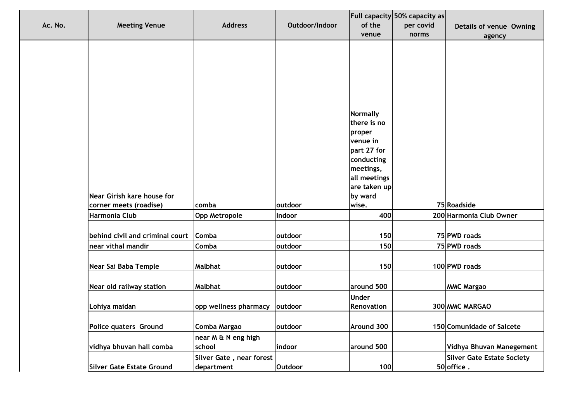| <b>Meeting Venue</b>                    | <b>Address</b>           | Outdoor/Indoor | of the<br>venue         | Full capacity 50% capacity as<br>per covid<br>norms | Details of venue Owning<br>agency      |
|-----------------------------------------|--------------------------|----------------|-------------------------|-----------------------------------------------------|----------------------------------------|
|                                         |                          |                |                         |                                                     |                                        |
|                                         |                          |                |                         |                                                     |                                        |
|                                         |                          |                |                         |                                                     |                                        |
|                                         |                          |                |                         |                                                     |                                        |
|                                         |                          |                | <b>Normally</b>         |                                                     |                                        |
|                                         |                          |                | there is no             |                                                     |                                        |
|                                         |                          |                | proper                  |                                                     |                                        |
|                                         |                          |                | venue in<br>part 27 for |                                                     |                                        |
|                                         |                          |                | conducting              |                                                     |                                        |
|                                         |                          |                | meetings,               |                                                     |                                        |
|                                         |                          |                | all meetings            |                                                     |                                        |
|                                         |                          |                | are taken up            |                                                     |                                        |
| Near Girish kare house for              |                          |                | by ward                 |                                                     |                                        |
| corner meets (roadise)<br>Harmonia Club | comba                    | outdoor        | wise.<br>400            |                                                     | 75 Roadside<br>200 Harmonia Club Owner |
|                                         | <b>Opp Metropole</b>     | Indoor         |                         |                                                     |                                        |
| behind civil and criminal court Comba   |                          | outdoor        | 150                     |                                                     | 75 PWD roads                           |
| near vithal mandir                      | Comba                    | outdoor        | 150                     |                                                     | 75 PWD roads                           |
| Near Sai Baba Temple                    | <b>Malbhat</b>           | outdoor        | 150                     |                                                     | 100 PWD roads                          |
|                                         |                          |                |                         |                                                     |                                        |
| <b>Near old railway station</b>         | <b>Malbhat</b>           | outdoor        | around 500              |                                                     | <b>MMC Margao</b>                      |
|                                         |                          |                | <b>Under</b>            |                                                     |                                        |
| Lohiya maidan                           | opp wellness pharmacy    | outdoor        | Renovation              |                                                     | 300 MMC MARGAO                         |
| <b>Police quaters Ground</b>            | Comba Margao             | outdoor        | Around 300              |                                                     | 150 Comunidade of Salcete              |
|                                         | near M & N eng high      |                |                         |                                                     |                                        |
| vidhya bhuvan hall comba                | school                   | indoor         | around 500              |                                                     | Vidhya Bhuvan Manegement               |
|                                         | Silver Gate, near forest |                |                         |                                                     | <b>Silver Gate Estate Society</b>      |
| Silver Gate Estate Ground               | department               | <b>Outdoor</b> | 100                     |                                                     | 50 office.                             |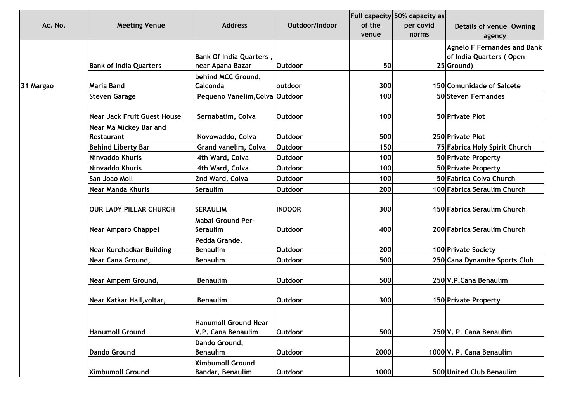| Ac. No.   | <b>Meeting Venue</b>               | <b>Address</b>                                     | Outdoor/Indoor | of the<br>venue | <b>Full capacity 50% capacity as</b><br>per covid<br>norms | Details of venue Owning<br>agency                                           |
|-----------|------------------------------------|----------------------------------------------------|----------------|-----------------|------------------------------------------------------------|-----------------------------------------------------------------------------|
|           | <b>Bank of India Quarters</b>      | <b>Bank Of India Quarters,</b><br>near Apana Bazar | <b>Outdoor</b> | 50              |                                                            | <b>Agnelo F Fernandes and Bank</b><br>of India Quarters (Open<br>25 Ground) |
|           |                                    | behind MCC Ground,                                 |                |                 |                                                            |                                                                             |
| 31 Margao | Maria Band                         | Calconda                                           | outdoor        | 300             |                                                            | 150 Comunidade of Salcete                                                   |
|           | <b>Steven Garage</b>               | Pequeno Vanelim, Colva Outdoor                     |                | 100             |                                                            | 50 Steven Fernandes                                                         |
|           | <b>Near Jack Fruit Guest House</b> | Sernabatim, Colva                                  | <b>Outdoor</b> | 100             |                                                            | 50 Private Plot                                                             |
|           | Near Ma Mickey Bar and             |                                                    |                |                 |                                                            |                                                                             |
|           | <b>Restaurant</b>                  | Novowaddo, Colva                                   | <b>Outdoor</b> | 500             |                                                            | 250 Private Plot                                                            |
|           | <b>Behind Liberty Bar</b>          | Grand vanelim, Colva                               | <b>Outdoor</b> | 150             |                                                            | 75 Fabrica Holy Spirit Church                                               |
|           | Ninvaddo Khuris                    | 4th Ward, Colva                                    | <b>Outdoor</b> | 100             |                                                            | 50 Private Property                                                         |
|           | Ninvaddo Khuris                    | 4th Ward, Colva                                    | <b>Outdoor</b> | 100             |                                                            | 50 Private Property                                                         |
|           | San Joao Moll                      | 2nd Ward, Colva                                    | Outdoor        | 100             |                                                            | 50 Fabrica Colva Church                                                     |
|           | <b>Near Manda Khuris</b>           | Seraulim                                           | <b>Outdoor</b> | 200             |                                                            | 100 Fabrica Seraulim Church                                                 |
|           | <b>OUR LADY PILLAR CHURCH</b>      | <b>SERAULIM</b>                                    | <b>INDOOR</b>  | 300             |                                                            | 150 Fabrica Seraulim Church                                                 |
|           | <b>Near Amparo Chappel</b>         | <b>Mabai Ground Per-</b><br>Seraulim               | <b>Outdoor</b> | 400             |                                                            | 200 Fabrica Seraulim Church                                                 |
|           | <b>Near Kurchadkar Building</b>    | Pedda Grande,<br><b>Benaulim</b>                   | <b>Outdoor</b> | 200             |                                                            | <b>100 Private Society</b>                                                  |
|           | Near Cana Ground,                  | <b>Benaulim</b>                                    | <b>Outdoor</b> | 500             |                                                            | 250 Cana Dynamite Sports Club                                               |
|           | Near Ampem Ground,                 | <b>Benaulim</b>                                    | <b>Outdoor</b> | 500             |                                                            | 250 V.P.Cana Benaulim                                                       |
|           | Near Katkar Hall, voltar,          | <b>Benaulim</b>                                    | <b>Outdoor</b> | 300             |                                                            | <b>150 Private Property</b>                                                 |
|           | <b>Hanumoll Ground</b>             | <b>Hanumoll Ground Near</b><br>V.P. Cana Benaulim  | <b>Outdoor</b> | 500             |                                                            | 250 V. P. Cana Benaulim                                                     |
|           | Dando Ground                       | Dando Ground,<br><b>Benaulim</b>                   | <b>Outdoor</b> | 2000            |                                                            | 1000 V. P. Cana Benaulim                                                    |
|           | <b>Ximbumoll Ground</b>            | <b>Ximbumoll Ground</b><br>Bandar, Benaulim        | <b>Outdoor</b> | 1000            |                                                            | 500 United Club Benaulim                                                    |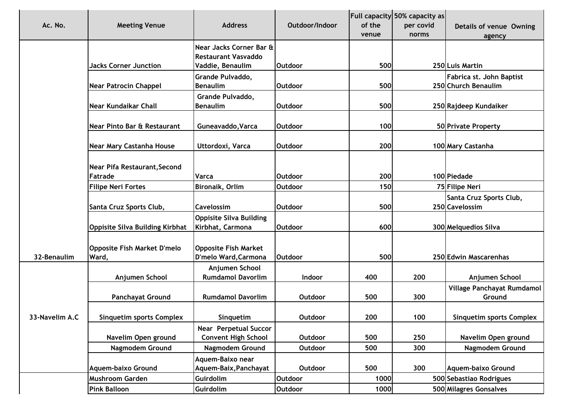| Ac. No.        | <b>Meeting Venue</b>                        | <b>Address</b>                                             | Outdoor/Indoor | of the<br>venue | Full capacity 50% capacity as<br>per covid<br>norms | Details of venue Owning                         |
|----------------|---------------------------------------------|------------------------------------------------------------|----------------|-----------------|-----------------------------------------------------|-------------------------------------------------|
|                |                                             | Near Jacks Corner Bar &<br><b>Restaurant Vasvaddo</b>      |                |                 |                                                     | agency                                          |
|                | <b>Jacks Corner Junction</b>                | Vaddie, Benaulim                                           | <b>Outdoor</b> | 500             |                                                     | 250 Luis Martin                                 |
|                | <b>Near Patrocin Chappel</b>                | Grande Pulvaddo,<br><b>Benaulim</b>                        | <b>Outdoor</b> | 500             |                                                     | Fabrica st. John Baptist<br>250 Church Benaulim |
|                | <b>Near Kundaikar Chall</b>                 | Grande Pulvaddo,<br><b>Benaulim</b>                        | <b>Outdoor</b> | 500             |                                                     | 250 Rajdeep Kundaiker                           |
|                | Near Pinto Bar & Restaurant                 | Guneavaddo, Varca                                          | <b>Outdoor</b> | 100             |                                                     | 50 Private Property                             |
|                | Near Mary Castanha House                    | Uttordoxi, Varca                                           | <b>Outdoor</b> | 200             |                                                     | 100 Mary Castanha                               |
|                | Near Pifa Restaurant, Second<br>Fatrade     | Varca                                                      | <b>Outdoor</b> | 200             |                                                     | 100 Piedade                                     |
|                | <b>Filipe Neri Fortes</b>                   | Bironaik, Orlim                                            | <b>Outdoor</b> | 150             |                                                     | 75 Filipe Neri                                  |
|                | Santa Cruz Sports Club,                     | Cavelossim                                                 | <b>Outdoor</b> | 500             |                                                     | Santa Cruz Sports Club,<br>250 Cavelossim       |
|                | <b>Oppisite Silva Building Kirbhat</b>      | <b>Oppisite Silva Building</b><br>Kirbhat, Carmona         | <b>Outdoor</b> | 600             |                                                     | 300 Melquedios Silva                            |
| 32-Benaulim    | <b>Opposite Fish Market D'melo</b><br>Ward, | <b>Opposite Fish Market</b><br>D'melo Ward, Carmona        | <b>Outdoor</b> | 500             |                                                     | 250 Edwin Mascarenhas                           |
|                | Anjumen School                              | Anjumen School<br><b>Rumdamol Davorlim</b>                 | Indoor         | 400             | 200                                                 | Anjumen School                                  |
|                | <b>Panchayat Ground</b>                     | <b>Rumdamol Davorlim</b>                                   | Outdoor        | 500             | 300                                                 | Village Panchayat Rumdamol<br>Ground            |
| 33-Navelim A.C | <b>Sinquetim sports Complex</b>             | Singuetim                                                  | Outdoor        | 200             | 100                                                 | <b>Sinquetim sports Complex</b>                 |
|                | Navelim Open ground                         | <b>Near Perpetual Succor</b><br><b>Convent High School</b> | Outdoor        | 500             | 250                                                 | Navelim Open ground                             |
|                | Nagmodem Ground                             | Nagmodem Ground                                            | Outdoor        | 500             | 300                                                 | <b>Nagmodem Ground</b>                          |
|                | <b>Aquem-baixo Ground</b>                   | Aquem-Baixo near<br>Aquem-Baix, Panchayat                  | Outdoor        | 500             | 300                                                 | <b>Aquem-baixo Ground</b>                       |
|                | Mushroom Garden                             | Guirdolim                                                  | <b>Outdoor</b> | 1000            |                                                     | 500 Sebastiao Rodrigues                         |
|                | <b>Pink Balloon</b>                         | Guirdolim                                                  | <b>Outdoor</b> | 1000            |                                                     | 500 Milagres Gonsalves                          |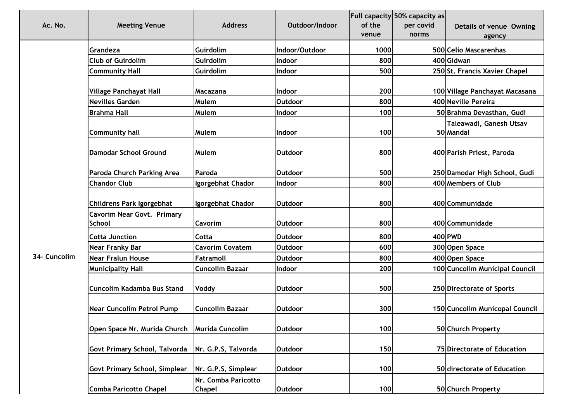|              |                                                     | <b>Address</b>                       |                | Full capacity 50% capacity as |           |                                      |  |
|--------------|-----------------------------------------------------|--------------------------------------|----------------|-------------------------------|-----------|--------------------------------------|--|
| Ac. No.      | <b>Meeting Venue</b>                                |                                      | Outdoor/Indoor | of the                        | per covid | Details of venue Owning              |  |
|              |                                                     |                                      |                | venue                         | norms     | agency                               |  |
|              | Grandeza                                            | Guirdolim                            | Indoor/Outdoor | 1000                          |           | 500 Celio Mascarenhas                |  |
|              | <b>Club of Guirdolim</b>                            | Guirdolim                            | Indoor         | 800                           |           | 400 Gidwan                           |  |
|              | <b>Community Hall</b>                               | Guirdolim                            | Indoor         | 500                           |           | 250 St. Francis Xavier Chapel        |  |
|              |                                                     |                                      |                |                               |           |                                      |  |
|              | Village Panchayat Hall                              | Macazana                             | Indoor         | 200                           |           | 100 Village Panchayat Macasana       |  |
|              | <b>Nevilles Garden</b>                              | Mulem                                | <b>Outdoor</b> | 800                           |           | 400 Neville Pereira                  |  |
|              | <b>Brahma Hall</b>                                  | Mulem                                | Indoor         | 100                           |           | 50 Brahma Devasthan, Gudi            |  |
|              | <b>Community hall</b>                               | Mulem                                | <b>Indoor</b>  | 100                           |           | Taleawadi, Ganesh Utsav<br>50 Mandal |  |
|              | <b>Damodar School Ground</b>                        | Mulem                                | <b>Outdoor</b> | 800                           |           | 400 Parish Priest, Paroda            |  |
|              | Paroda Church Parking Area                          | Paroda                               | <b>Outdoor</b> | 500                           |           | 250 Damodar High School, Gudi        |  |
|              | <b>Chandor Club</b>                                 | Igorgebhat Chador                    | Indoor         | 800                           |           | 400 Members of Club                  |  |
|              | Childrens Park Igorgebhat                           | Igorgebhat Chador                    | <b>Outdoor</b> | 800                           |           | 400 Communidade                      |  |
|              | <b>Cavorim Near Govt. Primary</b><br><b>School</b>  | <b>Cavorim</b>                       | <b>Outdoor</b> | 800                           |           | 400 Communidade                      |  |
|              | <b>Cotta Junction</b>                               | Cotta                                | <b>Outdoor</b> | 800                           |           | 400 PWD                              |  |
|              | <b>Near Franky Bar</b>                              | <b>Cavorim Covatem</b>               | Outdoor        | 600                           |           | 300 Open Space                       |  |
| 34- Cuncolim | <b>Near Fralun House</b>                            | Fatramoll                            | <b>Outdoor</b> | 800                           |           | 400 Open Space                       |  |
|              | <b>Municipality Hall</b>                            | <b>Cuncolim Bazaar</b>               | Indoor         | 200                           |           | 100 Cuncolim Municipal Council       |  |
|              | Cuncolim Kadamba Bus Stand                          | Voddy                                | <b>Outdoor</b> | 500                           |           | 250 Directorate of Sports            |  |
|              | <b>Near Cuncolim Petrol Pump</b>                    | <b>Cuncolim Bazaar</b>               | <b>Outdoor</b> | 300                           |           | 150 Cuncolim Municopal Council       |  |
|              | Open Space Nr. Murida Church   Murida Cuncolim      |                                      | <b>Outdoor</b> | 100                           |           | 50 Church Property                   |  |
|              | Govt Primary School, Talvorda   Nr. G.P.S, Talvorda |                                      | Outdoor        | 150                           |           | 75 Directorate of Education          |  |
|              | <b>Govt Primary School, Simplear</b>                | Nr. G.P.S, Simplear                  | Outdoor        | 100                           |           | 50 directorate of Education          |  |
|              | <b>Comba Paricotto Chapel</b>                       | Nr. Comba Paricotto<br><b>Chapel</b> | Outdoor        | 100                           |           | 50 Church Property                   |  |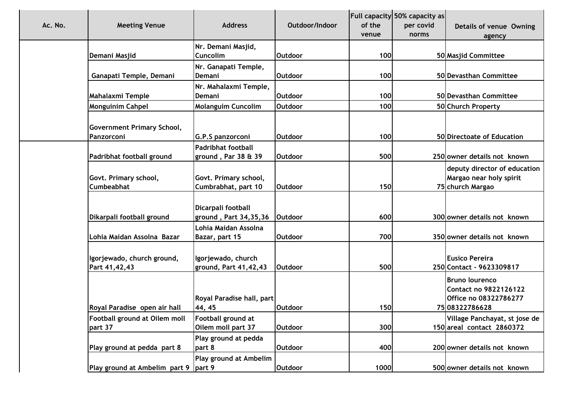| Ac. No. | <b>Meeting Venue</b>                            | <b>Address</b>                                   | Outdoor/Indoor  | of the<br>venue | Full capacity 50% capacity as<br>per covid<br>norms | Details of venue Owning<br>agency                                                 |
|---------|-------------------------------------------------|--------------------------------------------------|-----------------|-----------------|-----------------------------------------------------|-----------------------------------------------------------------------------------|
|         | Demani Masjid                                   | Nr. Demani Masjid,<br>Cuncolim                   | Outdoor         | 100             |                                                     | 50 Masjid Committee                                                               |
|         |                                                 |                                                  |                 |                 |                                                     |                                                                                   |
|         | Ganapati Temple, Demani                         | Nr. Ganapati Temple,<br>Demani                   | <b>Outdoor</b>  | 100             |                                                     | 50 Devasthan Committee                                                            |
|         | <b>Mahalaxmi Temple</b>                         | Nr. Mahalaxmi Temple,<br>Demani                  | <b>Outdoor</b>  | 100             |                                                     | 50 Devasthan Committee                                                            |
|         | <b>Monguinim Cahpel</b>                         | Molanguim Cuncolim                               | <b>Outdoor</b>  | 100             |                                                     | 50 Church Property                                                                |
|         | <b>Government Primary School,</b><br>Panzorconi | G.P.S panzorconi                                 | <b>Outdoor</b>  | 100             |                                                     | 50 Directoate of Education                                                        |
|         | Padribhat football ground                       | <b>Padribhat football</b><br>ground, Par 38 & 39 | Outdoor         | 500             |                                                     | 250 owner details not known                                                       |
|         | Govt. Primary school,<br><b>Cumbeabhat</b>      | Govt. Primary school,<br>Cumbrabhat, part 10     | <b>Outdoor</b>  | 150             |                                                     | deputy director of education<br>Margao near holy spirit<br>75 church Margao       |
|         | Dikarpali football ground                       | Dicarpali football<br>ground, Part 34,35,36      | <b>IOutdoor</b> | 600             |                                                     | 300 owner details not known                                                       |
|         | Lohia Maidan Assolna Bazar                      | Lohia Maidan Assolna<br>Bazar, part 15           | <b>Outdoor</b>  | 700             |                                                     | 350 owner details not known                                                       |
|         | Igorjewado, church ground,<br>Part 41,42,43     | Igorjewado, church<br>ground, Part 41,42,43      | <b>Outdoor</b>  | 500             |                                                     | <b>Eusico Pereira</b><br>250 Contact - 9623309817                                 |
|         | Royal Paradise open air hall                    | Royal Paradise hall, part<br>44, 45              | <b>Outdoor</b>  | 150             |                                                     | Bruno lourenco<br>Contact no 9822126122<br>Office no 08322786277<br>7508322786628 |
|         | Football ground at Oilem moll<br>part 37        | Football ground at<br>Oilem moll part 37         | Outdoor         | 300             |                                                     | Village Panchayat, st jose de<br>150 areal contact 2860372                        |
|         | Play ground at pedda part 8                     | Play ground at pedda<br>part 8                   | <b>Outdoor</b>  | 400             |                                                     | 200 owner details not known                                                       |
|         | Play ground at Ambelim part 9                   | Play ground at Ambelim<br>part 9                 | <b>Outdoor</b>  | 1000            |                                                     | 500 owner details not known                                                       |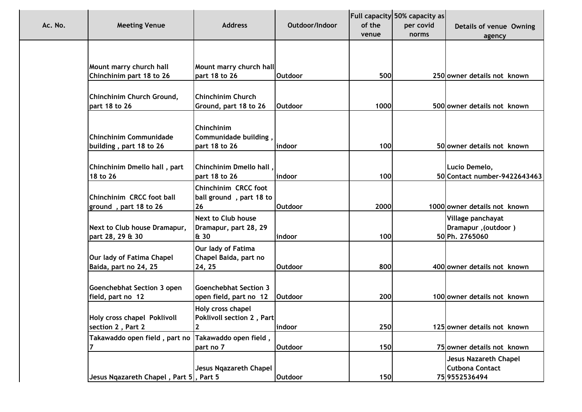| Ac. No.<br><b>Meeting Venue</b>                                    | <b>Address</b>                                                                | Outdoor/Indoor           | of the<br>venue | Full capacity 50% capacity as<br>per covid<br>norms | Details of venue Owning<br>agency                                |
|--------------------------------------------------------------------|-------------------------------------------------------------------------------|--------------------------|-----------------|-----------------------------------------------------|------------------------------------------------------------------|
| Mount marry church hall                                            | Mount marry church hall<br>part 18 to 26                                      | <b>Outdoor</b>           | 500             |                                                     | 250 owner details not known                                      |
| Chinchinim part 18 to 26<br>Chinchinim Church Ground,              | <b>Chinchinim Church</b>                                                      |                          |                 |                                                     |                                                                  |
| part 18 to 26<br>Chinchinim Communidade<br>building, part 18 to 26 | Ground, part 18 to 26<br>Chinchinim<br>Communidade building,<br>part 18 to 26 | <b>Outdoor</b><br>indoor | 1000<br>100     |                                                     | 500 owner details not known<br>50 owner details not known        |
| Chinchinim Dmello hall, part<br>18 to 26                           | Chinchinim Dmello hall,<br>part 18 to 26                                      | indoor                   | 100             |                                                     | Lucio Demelo,<br>50 Contact number-9422643463                    |
| Chinchinim CRCC foot ball<br>ground, part 18 to 26                 | Chinchinim CRCC foot<br>ball ground, part 18 to<br>26                         | <b>Outdoor</b>           | 2000            |                                                     | 1000 owner details not known                                     |
| Next to Club house Dramapur,<br>part 28, 29 & 30                   | <b>Next to Club house</b><br>Dramapur, part 28, 29<br>& 30                    | indoor                   | 100             |                                                     | Village panchayat<br>(Outdoor), Dramapur<br>50 Ph. 2765060       |
| Our lady of Fatima Chapel<br>Baida, part no 24, 25                 | Our lady of Fatima<br>Chapel Baida, part no<br>24, 25                         | <b>Outdoor</b>           | 800             |                                                     | 400 owner details not known                                      |
| Goenchebhat Section 3 open<br>field, part no 12                    | <b>Goenchebhat Section 3</b><br>open field, part no 12                        | <b>Outdoor</b>           | 200             |                                                     | 100 owner details not known                                      |
| <b>Holy cross chapel Poklivoll</b><br>section 2, Part 2            | Holy cross chapel<br>Poklivoll section 2, Part<br>$\overline{2}$              | indoor                   | 250             |                                                     | 125 owner details not known                                      |
| Takawaddo open field, part no                                      | Takawaddo open field,<br>part no 7                                            | <b>Outdoor</b>           | 150             |                                                     | 75 owner details not known                                       |
| Jesus Nqazareth Chapel, Part 5, Part 5                             | Jesus Ngazareth Chapel                                                        | Outdoor                  | 150             |                                                     | Jesus Nazareth Chapel<br><b>Cutbona Contact</b><br>75 9552536494 |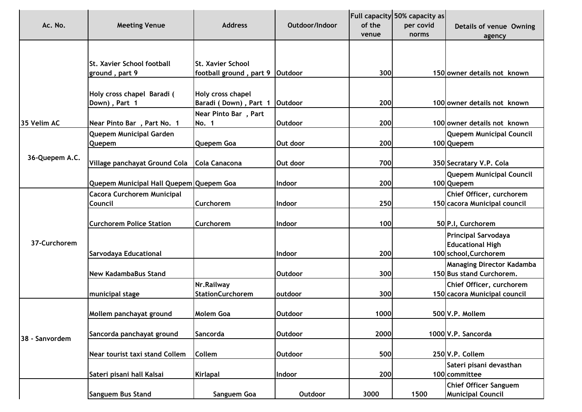|                |                                         |                                 |                |        | Full capacity 50% capacity as |                                  |
|----------------|-----------------------------------------|---------------------------------|----------------|--------|-------------------------------|----------------------------------|
| Ac. No.        | <b>Meeting Venue</b>                    | <b>Address</b>                  | Outdoor/Indoor | of the | per covid                     | Details of venue Owning          |
|                |                                         |                                 |                | venue  | norms                         | agency                           |
|                |                                         |                                 |                |        |                               |                                  |
|                |                                         |                                 |                |        |                               |                                  |
|                | <b>St. Xavier School football</b>       | <b>St. Xavier School</b>        |                |        |                               |                                  |
|                | ground, part 9                          | football ground, part 9 Outdoor |                | 300    |                               | 150 owner details not known      |
|                |                                         |                                 |                |        |                               |                                  |
|                | Holy cross chapel Baradi (              | Holy cross chapel               | Outdoor        | 200    |                               | 100 owner details not known      |
|                | Down), Part 1                           | Baradi (Down), Part 1           |                |        |                               |                                  |
| 35 Velim AC    | Near Pinto Bar, Part No. 1              | Near Pinto Bar, Part<br>No. 1   | <b>Outdoor</b> | 200    |                               | 100 owner details not known      |
|                | Quepem Municipal Garden                 |                                 |                |        |                               | <b>Quepem Municipal Council</b>  |
|                | <b>Quepem</b>                           | <b>Quepem Goa</b>               | Out door       | 200    |                               | 100 Quepem                       |
|                |                                         |                                 |                |        |                               |                                  |
| 36-Quepem A.C. | Village panchayat Ground Cola           | Cola Canacona                   | Out door       | 700    |                               | 350 Secratary V.P. Cola          |
|                |                                         |                                 |                |        |                               | <b>Quepem Municipal Council</b>  |
|                | Quepem Municipal Hall Quepem Quepem Goa |                                 | Indoor         | 200    |                               | 100 Quepem                       |
|                | Cacora Curchorem Municipal              |                                 |                |        |                               | Chief Officer, curchorem         |
|                | Council                                 | <b>Curchorem</b>                | Indoor         | 250    |                               | 150 cacora Municipal council     |
|                |                                         |                                 |                |        |                               |                                  |
|                | <b>Curchorem Police Station</b>         | <b>Curchorem</b>                | Indoor         | 100    |                               | 50 P.I. Curchorem                |
|                |                                         |                                 |                |        |                               | <b>Principal Sarvodaya</b>       |
| 37-Curchorem   |                                         |                                 |                |        |                               | <b>Educational High</b>          |
|                | Sarvodaya Educational                   |                                 | Indoor         | 200    |                               | 100 school, Curchorem            |
|                |                                         |                                 |                |        |                               | <b>Managing Director Kadamba</b> |
|                | <b>New KadambaBus Stand</b>             |                                 | <b>Outdoor</b> | 300    |                               | 150 Bus stand Curchorem.         |
|                |                                         | Nr.Railway                      |                |        |                               | Chief Officer, curchorem         |
|                | municipal stage                         | <b>StationCurchorem</b>         | outdoor        | 300    |                               | 150 cacora Municipal council     |
|                |                                         |                                 |                |        |                               |                                  |
|                | Mollem panchayat ground                 | <b>Molem Goa</b>                | <b>Outdoor</b> | 1000   |                               | 500 V.P. Mollem                  |
|                |                                         |                                 |                |        |                               |                                  |
| 38 - Sanvordem | Sancorda panchayat ground               | Sancorda                        | Outdoor        | 2000   |                               | 1000 V.P. Sancorda               |
|                |                                         |                                 |                |        |                               |                                  |
|                | Near tourist taxi stand Collem          | <b>Collem</b>                   | <b>Outdoor</b> | 500    |                               | 250 V.P. Collem                  |
|                |                                         |                                 |                |        |                               | Sateri pisani devasthan          |
|                | Sateri pisani hall Kalsai               | Kirlapal                        | Indoor         | 200    |                               | 100 committee                    |
|                |                                         |                                 |                |        |                               | <b>Chief Officer Sanguem</b>     |
|                | Sanguem Bus Stand                       | Sanguem Goa                     | Outdoor        | 3000   | 1500                          | <b>Municipal Council</b>         |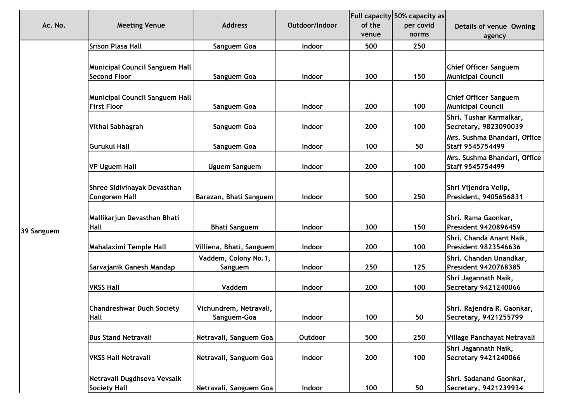|            |                                       |                                 |                |        | <b>Full capacity 50% capacity as</b> |                                                         |
|------------|---------------------------------------|---------------------------------|----------------|--------|--------------------------------------|---------------------------------------------------------|
| Ac. No.    | <b>Meeting Venue</b>                  | <b>Address</b>                  | Outdoor/Indoor | of the | per covid                            | Details of venue Owning                                 |
|            |                                       |                                 |                | venue  | norms                                | agency                                                  |
|            | <b>Srison Plasa Hall</b>              | Sanguem Goa                     | <b>Indoor</b>  | 500    | 250                                  |                                                         |
|            |                                       |                                 |                |        |                                      |                                                         |
|            | <b>Municipal Council Sanguem Hall</b> |                                 |                |        |                                      | <b>Chief Officer Sanguem</b>                            |
|            | <b>Second Floor</b>                   | Sanguem Goa                     | Indoor         | 300    | 150                                  | <b>Municipal Council</b>                                |
|            |                                       |                                 |                |        |                                      |                                                         |
|            | <b>Municipal Council Sanguem Hall</b> |                                 |                |        |                                      | <b>Chief Officer Sanguem</b>                            |
|            | <b>First Floor</b>                    | Sanguem Goa                     | Indoor         | 200    | 100                                  | <b>Municipal Council</b>                                |
|            |                                       |                                 |                |        |                                      | Shri. Tushar Karmalkar,                                 |
|            | <b>Vithal Sabhagrah</b>               | Sanguem Goa                     | Indoor         | 200    | 100                                  | Secretary, 9823090039                                   |
|            |                                       |                                 |                |        |                                      | Mrs. Sushma Bhandari, Office                            |
|            | <b>Gurukul Hall</b>                   | Sanguem Goa                     | Indoor         | 100    | 50                                   | Staff 9545754499                                        |
|            |                                       |                                 |                |        |                                      | Mrs. Sushma Bhandari, Office                            |
|            | <b>VP Uguem Hall</b>                  | Uguem Sanguem                   | Indoor         | 200    | 100                                  | Staff 9545754499                                        |
|            |                                       |                                 |                |        |                                      |                                                         |
|            | Shree Sidivinayak Devasthan           |                                 |                |        | 250                                  | Shri Vijendra Velip,                                    |
|            | <b>Congorem Hall</b>                  | Barazan, Bhati Sanguem          | Indoor         | 500    |                                      | President, 9405656831                                   |
|            |                                       |                                 |                |        |                                      |                                                         |
|            | Mallikarjun Devasthan Bhati<br>Hall   | <b>Bhati Sanguem</b>            | Indoor         | 300    | 150                                  | Shri. Rama Gaonkar,<br><b>President 9420896459</b>      |
| 39 Sanguem |                                       |                                 |                |        |                                      |                                                         |
|            | Mahalaximi Temple Hall                | Villiena, Bhati, Sanguem        | <b>Indoor</b>  | 200    | 100                                  | Shri. Chanda Anant Naik,<br><b>President 9823546636</b> |
|            |                                       |                                 |                |        |                                      |                                                         |
|            | Sarvajanik Ganesh Mandap              | Vaddem, Colony No.1,<br>Sanguem | Indoor         | 250    | 125                                  | Shri. Chandan Unandkar,<br><b>President 9420768385</b>  |
|            |                                       |                                 |                |        |                                      | Shri Jagannath Naik,                                    |
|            | <b>VKSS Hall</b>                      | Vaddem                          | Indoor         | 200    | 100                                  | Secretary 9421240066                                    |
|            |                                       |                                 |                |        |                                      |                                                         |
|            | <b>Chandreshwar Dudh Society</b>      | Vichundrem, Netravali,          |                |        |                                      | Shri. Rajendra R. Gaonkar,                              |
|            | <b>Hall</b>                           | Sanguem-Goa                     | <b>Indoor</b>  | 100    | 50                                   | Secretary, 9421255799                                   |
|            |                                       |                                 |                |        |                                      |                                                         |
|            | <b>Bus Stand Netravali</b>            | Netravali, Sanguem Goa          | Outdoor        | 500    | 250                                  | Village Panchayat Netravali                             |
|            |                                       |                                 |                |        |                                      | Shri Jagannath Naik,                                    |
|            | <b>VKSS Hall Netravali</b>            | Netravali, Sanguem Goa          | Indoor         | 200    | 100                                  | Secretary 9421240066                                    |
|            |                                       |                                 |                |        |                                      |                                                         |
|            | Netravali Dugdhseva Vevsaik           |                                 |                |        |                                      | Shri. Sadanand Gaonkar,                                 |
|            | <b>Society Hall</b>                   | Netravali, Sanguem Goa          | Indoor         | 100    | 50                                   | Secretary, 9421239934                                   |
|            |                                       |                                 |                |        |                                      |                                                         |